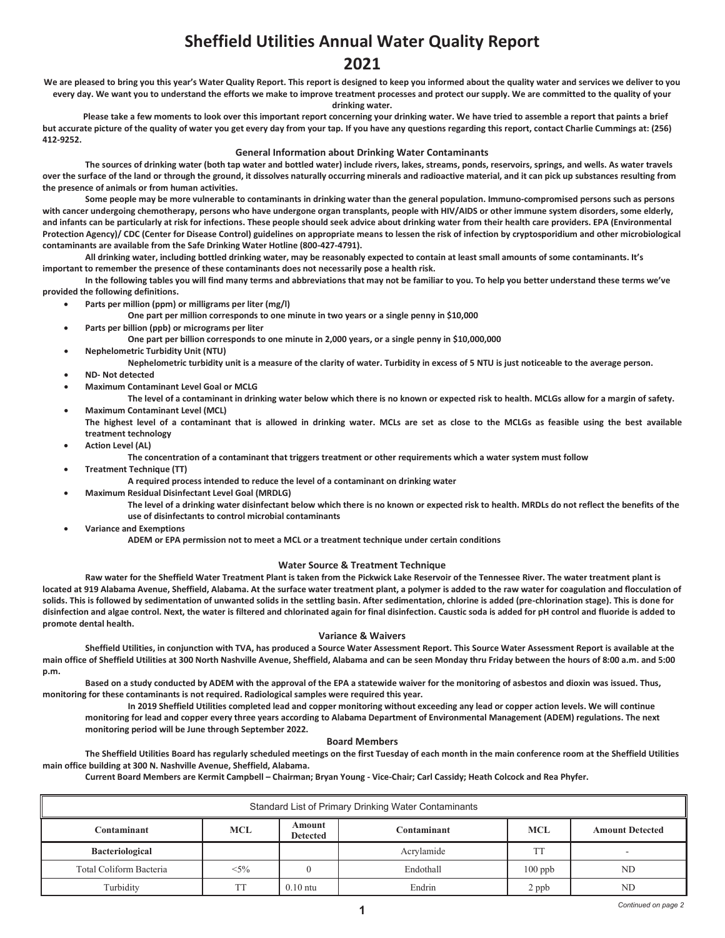# **Sheffield Utilities Annual Water Quality Report Sheffield Utilities Annual Water Quality Report 2021 2021**

We are pleased to bring you this year's Water Quality Report. This report is designed to keep you informed about the quality water and services we deliver to you every day. We want you to understand the efforts we make to improve treatment processes and protect our supply. We are committed to the quality of your

**drinking water.**

 **Please take a few moments to look over this important report concerning your drinking water. We have tried to assemble a report that paints a brief drinking water.** but accurate picture of the quality of water you get every day from your tap. If you have any questions regarding this report, contact Charlie Cummings at: (256) **412-9252. but accurate picture of the quality of water you get every day from your tap. If you have any questions regarding this report, contact Charlie Cummings at: (256)** 

### **General Information about Drinking Water Contaminants**

**The sources of drinking water (both tap water and bottled water) include rivers, lakes, streams, ponds, reservoirs, springs, and wells. As water travels**  over the surface of the land or through the ground, it dissolves naturally occurring minerals and radioactive material, and it can pick up substances resulting from **the presence of animals or from human activities.** 

Some people may be more vulnerable to contaminants in drinking water than the general population. Immuno-compromised persons such as persons **with cancer undergoing chemotherapy, persons who have undergone organ transplants, people with HIV/AIDS or other immune system disorders, some elderly,**  and infants can be particularly at risk for infections. These people should seek advice about drinking water from their health care providers. EPA (Environmental Protection Agency)/ CDC (Center for Disease Control) guidelines on appropriate means to lessen the risk of infection by cryptosporidium and other microbiological contaminants are available from the Safe Drinking Water Hotline (800-427-4791).

All drinking water, including bottled drinking water, may be reasonably expected to contain at least small amounts of some contaminants. It's<br>important to romamber the precense of these contaminants does not pessessily nes **important to remember the presence of these contaminants does not necessarily pose a health risk.**

In the following tables you will find many terms and abbreviations that may not be familiar to you. To help you better understand these terms we've provided the following definitions. drinking water, including bottled drinking water, may be reasonably expected<br>remember the presence of these contaminants does not necessarily pose a hea<br>the following tables you will find many terms and abbreviations that

- **Parts per million (ppm) or milligrams per liter (mg/l) and the reasonably expected to contain anotation and to contain anotation at least small amounts of some contain amounts of some contaminants. It is also some con**
- One part per million corresponds to one minute in two years or a single penny in \$10,000<br>**Ports position (ppb) or misrograms position** 
	- **Parts per billion (ppb) or micrograms per liter**

One part per billion corresponds to one minute in 2,000 years, or a single penny in \$10,000,000

- **•** Nephelometric Turbidity Unit (NTU)
	- **Parts per measure of the clarity of water. Turbidity in excess of 5 NTU is just noticeable to the average person.**<br>• **Part detected** 
		- **ND- Not detected**
		- **We not activity the minute in two years of minute in the minute in two years of personal personal per minute in the minute in the minute or**  $\mathbf{M}$  **and**  $\mathbf{M}$  **and**  $\mathbf{M}$  **and**  $\mathbf{M}$  **and**  $\mathbf{M}$  **are performed by t**

The level of a contaminant in drinking water below which there is no known or expected risk to health. MCLGs allow for a margin of safety.

- **Maximum Contaminant Level (MCL)**  • Maximum Contaminant Level (MCL)<br>The highest level of a contaminant that is allowed in drinking water. MCLs are set as close to the MCLGs as feasible using the best available **IDE DIGNEST LEVEL OT A CONTROL**<br>Treatment technology
	- **treatment technology** • **Action Level (AL) Nephelometric turbidity is a measure of the clarity in the clarity in the average person.**<br>• Action Level (AL)

•

- **The concentration of a contaminant that triggers treatment or other requirements which a water system must follow treatment or other**
- **Treatment Technique (TT)** •
	- **A required process intended to reduce the level of a contaminant on drinking water**
	- **The level of a contaminant of a contaminant of drinking water below which the level of a contaminant of drinking water below**  $\blacksquare$
- **The level of a drinking water disinfectant below which there is no known or expected risk to health. MRDLs do not reflect the benefits of the The state of disinfectants to control microbial contaminants** A required process intended to reduce the level of a contaminant on drinking water<br>Residual Disinfectant Level Goal (MRDLG)<br>The level of a drinking water disinfectant below which there is no known or expected risk to he<br>us **The level of a dr** 
	- **Variance and Exemptions traction**<br>**the set of the set of the variance** 
		- **ADEM or EPA permission not to meet a MCL or a treatment technique under certain conditions**

## **The containt of a container is a contaminate that the contaminate which a water Source & Treatment Technique**

Raw water for the Sheffield Water Treatment Plant is taken from the Pickwick Lake Reservoir of the Tennessee River. The water treatment plant is **located at 919 Alabama Avenue, Sheffield, Alabama. At the surface water treatment plant, a polymer is added to the raw water for coagulation and flocculation of**  iocated at 919 Alabama Avenue, Snemeid, Alabama. At the surrace water treatment plant, a polymer is added to the raw water for coagulation and flocculation o<br>solids. This is followed by sedimentation of unwanted solids in disinfection and algae control. Next, the water is filtered and chlorinated again for final disinfection. Caustic soda is added for pH control and fluoride is added to **promote dental health. The level of a drinking water disinfectant is no known or the below which the benefits of the benefits of the benefits of the benefits of the benefits of the benefits of the benefits of the benefits of the benefits of the** 

### **Variance & Waivers**

Variance & Waivers<br>Sheffield Utilities, in conjunction with TVA, has produced a Source Water Assessment Report. This Source Water Assessment Report is available at the **main office of Sheffield Utilities at 300 North Nashville Avenue, Sheffield, Alabama and can be seen Monday thru Friday between the hours of 8:00 a.m. and 5:00**  • **Variance and Exemptions p.m. ADEM or EPA permission not to meet a MCL or a treatment technique under certain conditions**

**Based on a study conducted by ADEM with the approval of the EPA a statewide waiver for the monitoring of asbestos and dioxin was issued. Thus, monitoring for these contaminants is not required. Radiological samples were required this year.**

**Undaminants is not required. Nadiological samples were required this year.**<br>In 2019 Sheffield Utilities completed lead and copper monitoring without exceeding any lead or copper action levels. We will continue monitoring for lead and copper every three years according to Alabama Department of Environmental Management (ADEM) regulations. The next monitoring period will be June through September 2022.

#### **Board Members**

board werribers<br>The Sheffield Utilities Board has regularly scheduled meetings on the first Tuesday of each month in the main conference room at the Sheffield Utilities main office building at 300 N. Nashville Avenue, Sheffield, Alabama.

**Current Board Members are Kermit Campbell – Chairman; Bryan Young - Vice-Chair; Carl Cassidy; Heath Colcock and Rea Phyfer.**

|                         |            |                           | Standard List of Primary Drinking Water Contaminants |            |                        |
|-------------------------|------------|---------------------------|------------------------------------------------------|------------|------------------------|
| Contaminant             | <b>MCL</b> | Amount<br><b>Detected</b> | Contaminant                                          | <b>MCL</b> | <b>Amount Detected</b> |
| <b>Bacteriological</b>  |            |                           | Acrylamide                                           |            |                        |
| Total Coliform Bacteria | $< 5\%$    |                           | Endothall                                            | $100$ ppb  | ND                     |
| Turbidity               | <b>TT</b>  | $0.10$ ntu                | Endrin                                               | 2 ppb      | ND                     |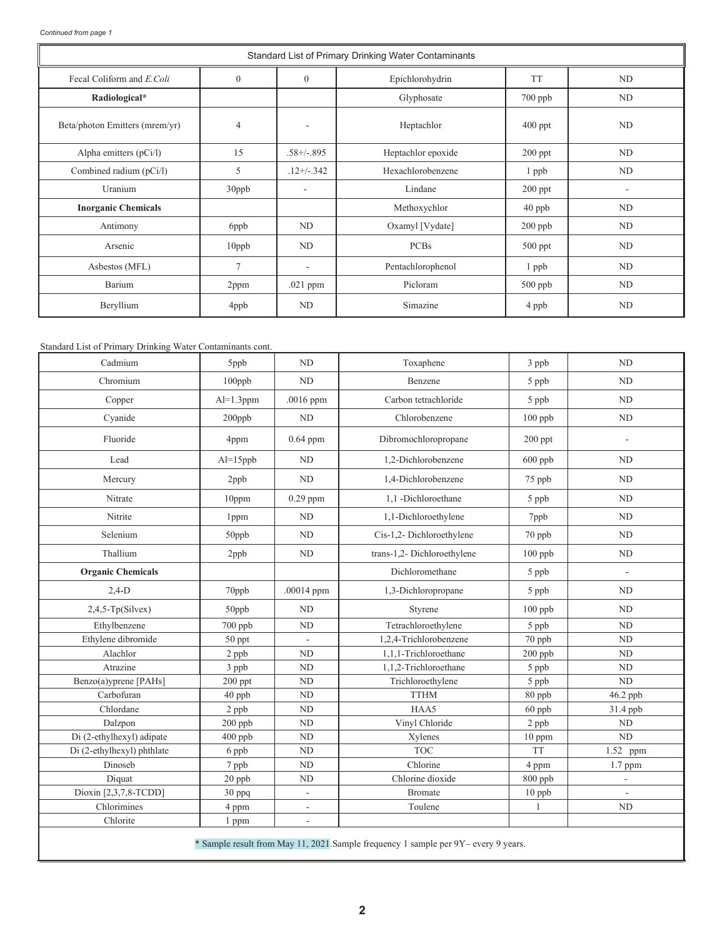L

|                                |                |                          | Standard List of Primary Drinking Water Contaminants |           |                |
|--------------------------------|----------------|--------------------------|------------------------------------------------------|-----------|----------------|
| Fecal Coliform and E.Coli      | $\theta$       | $\Omega$                 | Epichlorohydrin                                      | <b>TT</b> | ND             |
| Radiological*                  |                |                          | Glyphosate                                           | 700 ppb   | N <sub>D</sub> |
| Beta/photon Emitters (mrem/yr) | $\overline{4}$ | ٠                        | Heptachlor                                           | $400$ ppt | ND             |
| Alpha emitters $(pCi/l)$       | 15             | $.58 + (-0.895)$         | Heptachlor epoxide                                   | $200$ ppt | ND             |
| Combined radium (pCi/l)        | 5              | $.12+/-.342$             | Hexachlorobenzene                                    | 1 ppb     | ND             |
| Uranium                        | 30ppb          |                          | Lindane                                              | $200$ ppt | ۰              |
| <b>Inorganic Chemicals</b>     |                |                          | Methoxychlor                                         | $40$ ppb  | ND             |
| Antimony                       | 6ppb           | ND                       | Oxamyl [Vydate]                                      | $200$ ppb | ND             |
| Arsenic                        | 10ppb          | ND                       | <b>PCBs</b>                                          | $500$ ppt | N <sub>D</sub> |
| Asbestos (MFL)                 | $\overline{7}$ | $\overline{\phantom{a}}$ | Pentachlorophenol                                    | 1 ppb     | ND             |
| Barium                         | 2ppm           | .021 ppm                 | Picloram                                             | $500$ ppb | ND             |
| Beryllium                      | 4ppb           | ND                       | Simazine                                             | 4 ppb     | <b>ND</b>      |

## Standard List of Primary Drinking Water Contaminants cont.

| Cadmium                    | 5ppb         | ND                       | Toxaphene                                                                           | $3$ ppb        | <b>ND</b>      |
|----------------------------|--------------|--------------------------|-------------------------------------------------------------------------------------|----------------|----------------|
| Chromium                   | $100$ ppb    | ND                       | Benzene                                                                             | 5 ppb          | ND             |
| Copper                     | $Al=1.3$ ppm | .0016 ppm                | Carbon tetrachloride                                                                | 5 ppb          | ND             |
| Cyanide                    | 200ppb       | ND                       | Chlorobenzene                                                                       | $100$ ppb      | ND             |
| Fluoride                   | 4ppm         | $0.64$ ppm               | Dibromochloropropane                                                                | 200 ppt        | ٠              |
| Lead                       | $Al=15$ ppb  | ND                       | 1,2-Dichlorobenzene                                                                 | 600 ppb        | <b>ND</b>      |
| Mercury                    | 2ppb         | ND                       | 1,4-Dichlorobenzene                                                                 | 75 ppb         | ND             |
| Nitrate                    | 10ppm        | $0.29$ ppm               | 1.1 -Dichloroethane                                                                 | 5 ppb          | <b>ND</b>      |
| Nitrite                    | 1ppm         | ND                       | 1,1-Dichloroethylene                                                                | 7ppb           | N <sub>D</sub> |
| Selenium                   | 50ppb        | ND                       | Cis-1,2- Dichloroethylene                                                           | 70 ppb         | ND             |
| Thallium                   | 2ppb         | ND                       | trans-1,2- Dichloroethylene                                                         | $100$ ppb      | ND             |
| <b>Organic Chemicals</b>   |              |                          | Dichloromethane                                                                     | 5 ppb          | ÷,             |
| $2,4-D$                    | 70ppb        | $.00014$ ppm             | 1,3-Dichloropropane                                                                 | 5 ppb          | N <sub>D</sub> |
| $2,4,5$ -Tp(Silvex)        | 50ppb        | ND                       | Styrene                                                                             | $100$ ppb      | ND             |
| Ethylbenzene               | 700 ppb      | ND                       | Tetrachloroethylene                                                                 | 5 ppb          | ND             |
| Ethylene dibromide         | 50 ppt       | ÷                        | 1,2,4-Trichlorobenzene                                                              | 70 ppb         | <b>ND</b>      |
| Alachlor                   | 2 ppb        | ND                       | 1,1,1-Trichloroethane                                                               | $200$ ppb      | ND             |
| Atrazine                   | 3 ppb        | ND                       | 1,1,2-Trichloroethane                                                               | 5 ppb          | ND             |
| Benzo(a)yprene [PAHs]      | $200$ ppt    | N <sub>D</sub>           | Trichloroethylene                                                                   | 5 ppb          | ND             |
| Carbofuran                 | 40 ppb       | ND                       | <b>TTHM</b>                                                                         | 80 ppb         | 46.2 ppb       |
| Chlordane                  | 2 ppb        | ${\rm ND}$               | HAA5                                                                                | 60 ppb         | 31.4 ppb       |
| Dalzpon                    | 200 ppb      | $\rm ND$                 | Vinyl Chloride                                                                      | 2 ppb          | ND             |
| Di (2-ethylhexyl) adipate  | $400$ ppb    | $\mbox{\sc ND}$          | Xylenes                                                                             | 10 ppm         | ND             |
| Di (2-ethylhexyl) phthlate | 6 ppb        | $\mbox{\sc ND}$          | <b>TOC</b>                                                                          | <b>TT</b>      | 1.52 ppm       |
| Dinoseb                    | 7 ppb        | $\rm ND$                 | Chlorine                                                                            | 4 ppm          | 1.7 ppm        |
| Diquat                     | $20$ ppb     | ND                       | Chlorine dioxide                                                                    | $800$ ppb      |                |
| Dioxin [2,3,7,8-TCDD]      | 30 ppq       | $\overline{\phantom{a}}$ | <b>Bromate</b>                                                                      | 10 ppb         |                |
| Chlorimines                | 4 ppm        | $\overline{\phantom{a}}$ | Toulene                                                                             | $\overline{1}$ | ND             |
| Chlorite                   | 1 ppm        | ÷,                       |                                                                                     |                |                |
|                            |              |                          | * Sample result from May 11, 2021. Sample frequency 1 sample per 9Y- every 9 years. |                |                |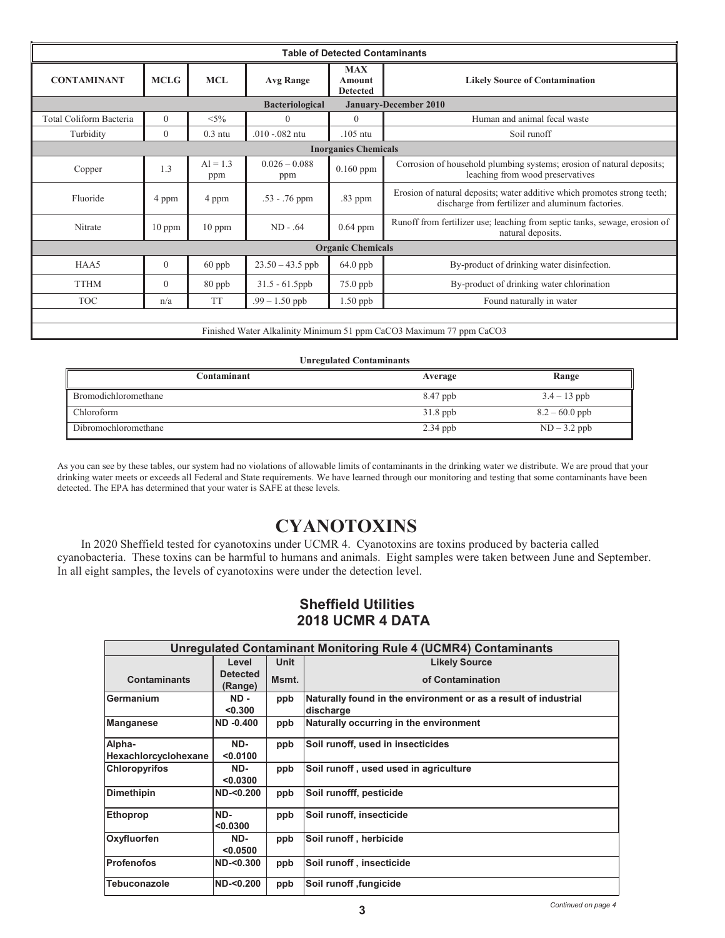|                         |              |                   |                        | <b>Table of Detected Contaminants</b>          |                                                                                                                               |
|-------------------------|--------------|-------------------|------------------------|------------------------------------------------|-------------------------------------------------------------------------------------------------------------------------------|
| <b>CONTAMINANT</b>      | <b>MCLG</b>  | <b>MCL</b>        | <b>Avg Range</b>       | <b>MAX</b><br><b>Amount</b><br><b>Detected</b> | <b>Likely Source of Contamination</b>                                                                                         |
|                         |              |                   | <b>Bacteriological</b> |                                                | <b>January-December 2010</b>                                                                                                  |
| Total Coliform Bacteria | $\theta$     | $< 5\%$           | $\Omega$               | $\theta$                                       | Human and animal fecal waste                                                                                                  |
| Turbidity               | $\mathbf{0}$ | $0.3$ ntu         | $.010 - .082$ ntu      | $.105$ ntu                                     | Soil runoff                                                                                                                   |
|                         |              |                   |                        | <b>Inorganics Chemicals</b>                    |                                                                                                                               |
| Copper                  | 1.3          | $AI = 1.3$<br>ppm | $0.026 - 0.088$<br>ppm | $0.160$ ppm                                    | Corrosion of household plumbing systems; erosion of natural deposits;<br>leaching from wood preservatives                     |
| Fluoride                | 4 ppm        | 4 ppm             | $.53 - .76$ ppm        | .83 ppm                                        | Erosion of natural deposits; water additive which promotes strong teeth;<br>discharge from fertilizer and aluminum factories. |
| Nitrate                 | $10$ ppm     | $10$ ppm          | $ND - .64$             | $0.64$ ppm                                     | Runoff from fertilizer use; leaching from septic tanks, sewage, erosion of<br>natural deposits.                               |
|                         |              |                   |                        | <b>Organic Chemicals</b>                       |                                                                                                                               |
| HAA5                    | $\theta$     | $60$ ppb          | $23.50 - 43.5$ ppb     | 64.0 ppb                                       | By-product of drinking water disinfection.                                                                                    |
| <b>TTHM</b>             | $\mathbf{0}$ | 80 ppb            | $31.5 - 61.5$ ppb      | 75.0 ppb                                       | By-product of drinking water chlorination                                                                                     |
| <b>TOC</b>              | n/a          | <b>TT</b>         | $.99 - 1.50$ ppb       | 1.50 ppb                                       | Found naturally in water                                                                                                      |
|                         |              |                   |                        |                                                |                                                                                                                               |

Finished Water Alkalinity Minimum 51 ppm CaCO3 Maximum 77 ppm CaCO3 Finished Water Alkalinity Minimum 51 ppm CaCO3 Maximum 77 ppm CaCO3

### **Unregulated Contaminants Unregulated Contaminants**

| Contaminant                 | Average    | Range            |
|-----------------------------|------------|------------------|
| <b>Bromodichloromethane</b> | 8.47 ppb   | $3.4 - 13$ ppb   |
| Chloroform                  | $31.8$ ppb | $8.2 - 60.0$ ppb |
| Dibromochloromethane        | $2.34$ ppb | $ND-3.2$ ppb     |

As you can see by these tables, our system had no violations of allowable limits of contaminants in the drinking water we distribute. We are proud that your drinking water meets or exceeds all Federal and State requirements. We have learned through our monitoring and testing that some contaminants have been detected. The EPA has determined that your water is SAFE at these levels. detected. The EPA has determined that your water is SAFE at these levels.

# **CYANOTOXINS CYANOTOXINS**

In 2020 Sheffield tested for cyanotoxins under UCMR 4. Cyanotoxins are toxins produced by bacteria called In 2020 Sheffield tested for cyanotoxins under UCMR 4. Cyanotoxins are toxins produced by bacteria called cyanobacteria. These toxins can be harmful to humans and animals. Eight samples were taken between June and September. In all eight samples, the levels of cyanotoxins were under the detection level. In all eight samples, the levels of cyanotoxins were under the detection level.

## **Sheffield Utilities 2018 UCMR 4 DATA**

|                                |                            |             | <b>Unregulated Contaminant Monitoring Rule 4 (UCMR4) Contaminants</b>        |
|--------------------------------|----------------------------|-------------|------------------------------------------------------------------------------|
|                                | Level                      | <b>Unit</b> | <b>Likely Source</b>                                                         |
| <b>Contaminants</b>            | <b>Detected</b><br>(Range) | Msmt.       | of Contamination                                                             |
| Germanium                      | ND-<br>< 0.300             | ppb         | Naturally found in the environment or as a result of industrial<br>discharge |
| <b>Manganese</b>               | <b>ND-0.400</b>            | ppb         | Naturally occurring in the environment                                       |
| Alpha-<br>Hexachlorcyclohexane | ND-<br>< 0.0100            | ppb         | Soil runoff, used in insecticides                                            |
| <b>Chloropyrifos</b>           | ND-<br>< 0.0300            | ppb         | Soil runoff, used used in agriculture                                        |
| <b>Dimethipin</b>              | ND < 0.200                 | ppb         | Soil runofff, pesticide                                                      |
| <b>Ethoprop</b>                | ND-<br>< 0.0300            | ppb         | Soil runoff, insecticide                                                     |
| Oxyfluorfen                    | ND-<br>< 0.0500            | ppb         | Soil runoff, herbicide                                                       |
| <b>Profenofos</b>              | ND < 0.300                 | ppb         | Soil runoff, insecticide                                                     |
| <b>Tebuconazole</b>            | ND-<0.200                  | ppb         | Soil runoff, fungicide                                                       |